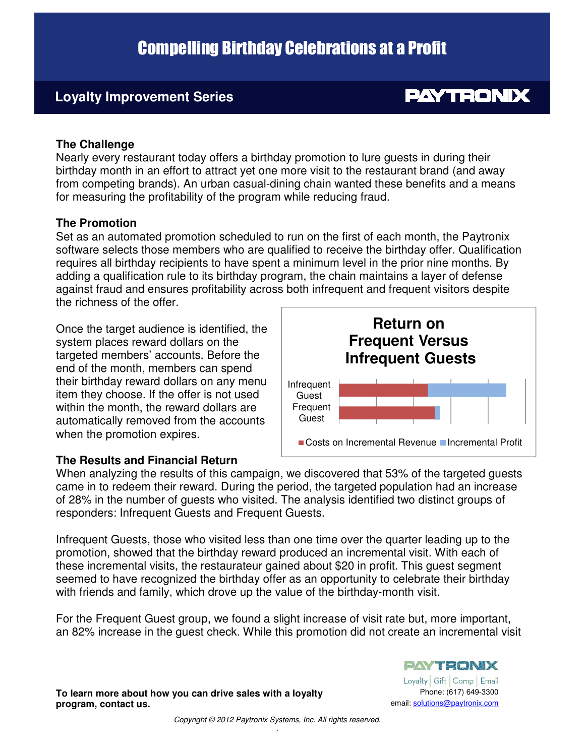# Compelling Birthday Celebrations at a Profit

### Loyalty Improvement Series **Loyalty Improvement Series**

## **PAYTRONIX**

#### **The Challenge**

Nearly every restaurant today offers a birthday promotion to lure guests in during their birthday month in an effort to attract yet one more visit to the restaurant brand (and away from competing brands). An urban casual-dining chain wanted these benefits and a means for measuring the profitability of the program while reducing fraud.

#### **The Promotion**

Set as an automated promotion scheduled to run on the first of each month, the Paytronix software selects those members who are qualified to receive the birthday offer. Qualification requires all birthday recipients to have spent a minimum level in the prior nine months. By adding a qualification rule to its birthday program, the chain maintains a layer of defense against fraud and ensures profitability across both infrequent and frequent visitors despite the richness of the offer.

Once the target audience is identified, the system places reward dollars on the targeted members' accounts. Before the end of the month, members can spend their birthday reward dollars on any menu item they choose. If the offer is not used within the month, the reward dollars are automatically removed from the accounts when the promotion expires.

#### **The Results and Financial Return**



When analyzing the results of this campaign, we discovered that 53% of the targeted guests came in to redeem their reward. During the period, the targeted population had an increase of 28% in the number of guests who visited. The analysis identified two distinct groups of responders: Infrequent Guests and Frequent Guests.

Infrequent Guests, those who visited less than one time over the quarter leading up to the promotion, showed that the birthday reward produced an incremental visit. With each of these incremental visits, the restaurateur gained about \$20 in profit. This guest segment seemed to have recognized the birthday offer as an opportunity to celebrate their birthday with friends and family, which drove up the value of the birthday-month visit.

For the Frequent Guest group, we found a slight increase of visit rate but, more important, an 82% increase in the guest check. While this promotion did not create an incremental visit

Loyalty | Gift | Comp | Email Phone: (617) 649-3300 email: solutions@paytronix.com